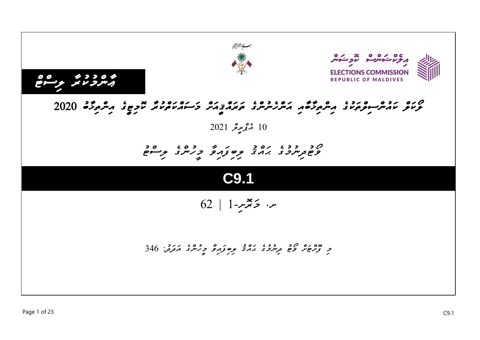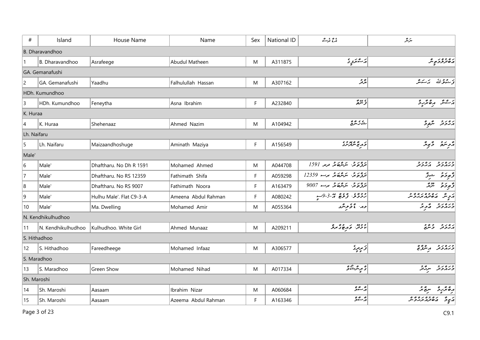| #              | Island             | House Name               | Name                | Sex | National ID | ، ه ، مرگ                             | ىئرىتر                                 |
|----------------|--------------------|--------------------------|---------------------|-----|-------------|---------------------------------------|----------------------------------------|
|                | B. Dharavandhoo    |                          |                     |     |             |                                       |                                        |
|                | B. Dharavandhoo    | Asrafeege                | Abudul Matheen      | M   | A311875     | ىز س <sup>ە</sup> ئىزى <sub>ر</sub> ئ | رە دەر پە                              |
|                | GA. Gemanafushi    |                          |                     |     |             |                                       |                                        |
| 2              | GA. Gemanafushi    | Yaadhu                   | Falhulullah Hassan  | M   | A307162     | پڑ تر                                 | ۇ خەتراللە ئەسكەش                      |
|                | HDh. Kumundhoo     |                          |                     |     |             |                                       |                                        |
| 3              | HDh. Kumundhoo     | Feneytha                 | Asna Ibrahim        | F   | A232840     | ی یں بر<br>تو سرچ                     | أرشش مرەغرىر                           |
| K. Huraa       |                    |                          |                     |     |             |                                       |                                        |
| 4              | K. Huraa           | Shehenaaz                | Ahmed Nazim         | M   | A104942     | ے بر بر م<br>مشرک مترج                | رەر ئەھرە                              |
| Lh. Naifaru    |                    |                          |                     |     |             |                                       |                                        |
| 5              | Lh. Naifaru        | Maizaandhoshuge          | Aminath Maziya      | F   | A156549     | ر په هېور و،<br>د مرمتر سرچر د        | أزويترة فتحبير                         |
| Male'          |                    |                          |                     |     |             |                                       |                                        |
| 6              | Male'              | Dhaftharu. No Dh R 1591  | Mohamed Ahmed       | M   | A044708     | تروير ترش يكس الكلا                   | כנסנכ נסנכ<br>כגמכנ הגבע               |
| 7              | Male'              | Dhaftharu. No RS 12359   | Fathimath Shifa     | F   | A059298     | رەرى ئىرىش ئىر 12359                  | قەم ئەقتى ئىسىمىتى ئىس                 |
| $\overline{8}$ | Male'              | Dhaftharu. No RS 9007    | Fathimath Noora     | F.  | A163479     | رەبەتە. ئېرىش ئەسىر 9007              | و دو دو                                |
| 9              | Male'              | Hulhu Male'. Flat C9-3-A | Ameena Abdul Rahman | F   | A080242     | ر دوي وي ه ع -3-9 پ                   | גב בי הסינו מיני                       |
| 10             | Male'              | Ma. Dwelling             | Mohamed Amir        | M   | A055364     | ور. ۽ وڻو سگھ                         | כממכת הבית                             |
|                | N. Kendhikulhudhoo |                          |                     |     |             |                                       |                                        |
| 11             | N. Kendhikulhudhoo | Kulhudhoo. White Girl    | Ahmed Munaaz        | M   | A209211     | כככבי ה כבי תל                        | גם ג' כ"ב.<br>ג'גבע ב"עב               |
|                | S. Hithadhoo       |                          |                     |     |             |                                       |                                        |
| 12             | S. Hithadhoo       | Fareedheege              | Mohamed Infaaz      | M   | A306577     | <br> توسير تبريز                      | ورەرو مەدە                             |
|                | S. Maradhoo        |                          |                     |     |             |                                       |                                        |
| 13             | S. Maradhoo        | <b>Green Show</b>        | Mohamed Nihad       | M   | A017334     | ە <sub>مو</sub> بۇرىشۇ                | ورەر د سرگار<br><i>دېد</i> رونر سرگانر |
| Sh. Maroshi    |                    |                          |                     |     |             |                                       |                                        |
| 14             | Sh. Maroshi        | Aasaam                   | Ibrahim Nizar       | M   | A060684     | ېژ شره                                | رەئزىر سەند                            |
| 15             | Sh. Maroshi        | Aasaam                   | Azeema Abdul Rahman | F.  | A163346     | پر مئے می                             |                                        |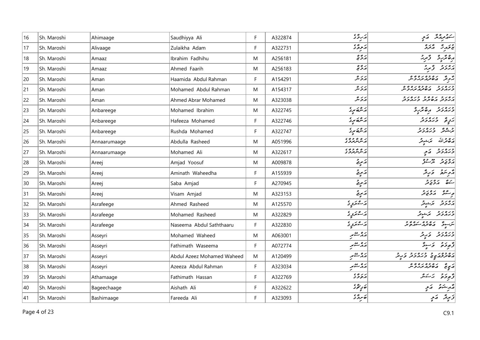| 16 | Sh. Maroshi | Ahimaage     | Saudhiyya Ali              | F  | A322874 | ەرىرى                                                                                                       | ستمصر مشر متوج                                    |
|----|-------------|--------------|----------------------------|----|---------|-------------------------------------------------------------------------------------------------------------|---------------------------------------------------|
| 17 | Sh. Maroshi | Alivaage     | Zulaikha Adam              | F. | A322731 | ر<br>پروگری                                                                                                 | پھوڑ<br> تحريم بر                                 |
| 18 | Sh. Maroshi | Amaaz        | Ibrahim Fadhihu            | M  | A256181 | 857                                                                                                         | وهندو ومرد                                        |
| 19 | Sh. Maroshi | Amaaz        | Ahmed Faarih               | M  | A256183 | $\overset{\circ}{\tilde{\phantom{\phi}}\phantom{\tilde{\phantom{\phi}}\!\!\!\!\!\!}}\tilde{\phantom{\phi}}$ | رەرو ۋىر                                          |
| 20 | Sh. Maroshi | Aman         | Haamida Abdul Rahman       | F  | A154291 | برىر ھ                                                                                                      | و و ده ده ده وه و و ده و                          |
| 21 | Sh. Maroshi | Aman         | Mohamed Abdul Rahman       | M  | A154317 | برىر ھ                                                                                                      | כנסני נסיכסנסטים<br>כגהכת השתה <i>בגב</i> ית      |
| 22 | Sh. Maroshi | Aman         | Ahmed Abrar Mohamed        | M  | A323038 | برىر ھ                                                                                                      | נסנד נדמד בנסנד<br>מגבת מסיני בגמבת               |
| 23 | Sh. Maroshi | Anbareege    | Mohamed Ibrahim            | M  | A322745 | بر ۵ پر مي<br>تر سرچ <i>ه پ</i> ر د                                                                         | כמחכת תפתיכ                                       |
| 24 | Sh. Maroshi | Anbareege    | Hafeeza Mohamed            | F  | A322746 | پر چوپچ سرچ                                                                                                 | پر په دره د د                                     |
| 25 | Sh. Maroshi | Anbareege    | Rushda Mohamed             | F. | A322747 | بر ه پر پر <sup>ج</sup>                                                                                     | و ه و دره د و<br>برخوش وبرورون                    |
| 26 | Sh. Maroshi | Annaarumaage | Abdulla Rasheed            | M  | A051996 | ر ۵ ۶ ۶ و ۶<br>۸ سرسرپرو ی                                                                                  | مَدْهُ مَّرْسُومَّر                               |
| 27 | Sh. Maroshi | Annaarumaage | Mohamed Ali                | M  | A322617 | ر ه پر و پر و<br>پر سرسربر و ی                                                                              | ورەر د كەم                                        |
| 28 | Sh. Maroshi | Areej        | Amjad Yoosuf               | M  | A009878 | پر<br>پرسميرچ                                                                                               | גם ג' בי בס<br>הכנוב ה                            |
| 29 | Sh. Maroshi | Areej        | Aminath Waheedha           | F  | A155939 | پر<br>پر موقع                                                                                               | أأترجع أقابيقه                                    |
| 30 | Sh. Maroshi | Areej        | Saba Amjad                 | F  | A270945 | پر<br>پر موقع                                                                                               | رژه در دور                                        |
| 31 | Sh. Maroshi | Areej        | Visam Amjad                | M  | A323153 | پر سرچ                                                                                                      | ه شو پره د و                                      |
| 32 | Sh. Maroshi | Asrafeege    | Ahmed Rasheed              | M  | A125570 | در صمر<br>  در سه مربي د                                                                                    | رەرد رىيەد<br>مەركىر مۇش <sub>ۇ</sub> تر          |
| 33 | Sh. Maroshi | Asrafeege    | Mohamed Rasheed            | M  | A322829 | ىر مەيرى <sub>رى</sub>                                                                                      | ورەرو بريدور                                      |
| 34 | Sh. Maroshi | Asrafeege    | Naseema Abdul Saththaaru   | F  | A322830 | ىز س <sup>ە</sup> ئىرى <sub>ر</sub> ى                                                                       | ره وه ره دو.<br>پره توپر شهره بو<br>ىئەسىرى       |
| 35 | Sh. Maroshi | Asseyri      | Mohamed Waheed             | M  | A063001 | لتره يھير                                                                                                   | ورەر ئەر ئەر                                      |
| 36 | Sh. Maroshi | Asseyri      | Fathimath Waseema          | F  | A072774 | لرەپىر                                                                                                      | وتموخا وسوق                                       |
| 37 | Sh. Maroshi | Assevri      | Abdul Azeez Mohamed Waheed | M  | A120499 | اړه پيمبر                                                                                                   | ג 2000 - 2000 - 2000 كر ج<br>הסתיכה ב 2000 10 كرد |
| 38 | Sh. Maroshi | Asseyri      | Azeeza Abdul Rahman        | F  | A323034 | ىرە يىمىر                                                                                                   | ر په ده ده ده ده ده م                             |
| 39 | Sh. Maroshi | Athamaage    | Fathimath Hassan           | F  | A322769 | ر ر د »<br>د ه د د                                                                                          | قەدە ئەسكىر                                       |
| 40 | Sh. Maroshi | Bageechaage  | Aishath Ali                | F. | A322622 | <br>  خونۍ د                                                                                                | وكرمينتمو الكمج                                   |
| 41 | Sh. Maroshi | Bashimaage   | Fareeda Ali                | F  | A323093 | ر دی<br>نه مرد د                                                                                            | وَ يَرِيْزُ - دَرِيْرِ                            |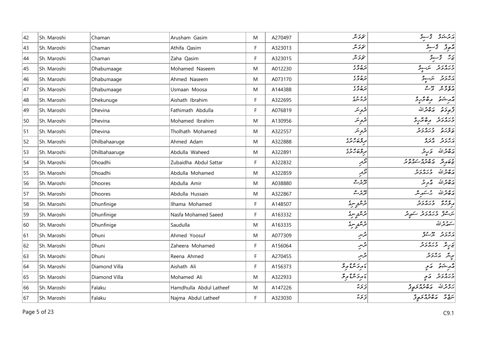| 42 | Sh. Maroshi | Chaman         | Arusham Gasim           | M  | A270497 | ىئەر بىر                                      | برويده ومجالبوه                                         |
|----|-------------|----------------|-------------------------|----|---------|-----------------------------------------------|---------------------------------------------------------|
| 43 | Sh. Maroshi | Chaman         | Athifa Qasim            | F  | A323013 | ىئەر بىر                                      | ۇيۇ ئېرگ                                                |
| 44 | Sh. Maroshi | Chaman         | Zaha Qasim              | F. | A323015 | ىمەترىش                                       | $\frac{1}{2}$ $\frac{1}{2}$ $\frac{1}{2}$ $\frac{1}{6}$ |
| 45 | Sh. Maroshi | Dhabumaage     | Mohamed Naseem          | M  | A012230 | ر و ه ء<br>ترەن ي                             |                                                         |
| 46 | Sh. Maroshi | Dhabumaage     | Ahmed Naseem            | M  | A073170 | ر و د »<br>تر <i>ه و ی</i>                    | رەرو شرىدۇ                                              |
| 47 | Sh. Maroshi | Dhabumaage     | Usmaan Moosa            | M  | A144388 |                                               | ده ده ده ده م                                           |
| 48 | Sh. Maroshi | Dhekunuge      | Aishath Ibrahim         | F. | A322695 | ړ د د ،<br>تر <i>پ</i> اسري                   | مەيدىنى مەھمىر                                          |
| 49 | Sh. Maroshi | Dhevina        | Fathimath Abdulla       | F  | A076819 | قرحر متر                                      | قرج حق مكانية                                           |
| 50 | Sh. Maroshi | Dhevina        | Mohamed Ibrahim         | M  | A130956 | قرحر متر                                      | כנים נכי הפיתיכ                                         |
| 51 | Sh. Maroshi | Dhevina        | Tholhath Mohamed        | M  | A322557 | قرحر يتر                                      | ره رو در درو<br>بونژینی تربر در                         |
| 52 | Sh. Maroshi | Dhilbahaaruge  | Ahmed Adam              | M  | A322888 | ه در ۶ و ۷<br>درمر <i>ه ر</i> بر <sub>ک</sub> | ر ہ ر د پر ہ<br>ג رونر گرنرو                            |
| 53 | Sh. Maroshi | Dhilbahaaruge  | Abdulla Waheed          | M  | A322891 | ه در ۶ و ۷<br>درمر <i>ه ر</i> بر <sub>ک</sub> | ره و الله كريز و                                        |
| 54 | Sh. Maroshi | Dhoadhi        | Zubaidha Abdul Sattar   | F  | A322832 | م<br>تومر                                     | כן כי נסכס נספכ                                         |
| 55 | Sh. Maroshi | Dhoadhi        | Abdulla Mohamed         | M  | A322859 | م<br>توفر                                     | رە دالله دېرورو                                         |
| 56 | Sh. Maroshi | <b>Dhoores</b> | Abdulla Amir            | M  | A038880 | دد ، م<br>تربر ک                              | مَدْهَ مَرْ مَدْ مَدْ مِرْ                              |
| 57 | Sh. Maroshi | <b>Dhoores</b> | Abdulla Hussain         | M  | A322867 | دد ،<br>تربر گ                                | مَ صَعْرَاللّه بِمُ سَمَّ مِشْ                          |
| 58 | Sh. Maroshi | Dhunfinige     | Ilhama Mohamed          | F  | A148507 | لترشر ببرته                                   | د ورو دره در د                                          |
| 59 | Sh. Maroshi | Dhunfinige     | Nasfa Mohamed Saeed     | F. | A163332 | قرينمو سرء <sup>2</sup>                       | ر وہ درورد دید                                          |
| 60 | Sh. Maroshi | Dhunfinige     | Saudulla                | M  | A163335 | قرشموسرته                                     | بحصر فرالله                                             |
| 61 | Sh. Maroshi | <b>Dhuni</b>   | Ahmed Yoosuf            | M  | A077309 | قرسر                                          | גם גם מרבין                                             |
| 62 | Sh. Maroshi | Dhuni          | Zaheera Mohamed         | F  | A156064 | قرسر                                          |                                                         |
| 63 | Sh. Maroshi | Dhuni          | Reena Ahmed             | F  | A270455 | و<br>توسر                                     | برنتر برورد                                             |
| 64 | Sh. Maroshi | Diamond Villa  | Aishath Ali             | F  | A156373 | ،<br>ئەر ئەستىمبو قر                          | أويم ينتمون أورمج                                       |
| 65 | Sh. Maroshi | Diamond Villa  | Mohamed Ali             | M  | A322933 | )<br>) دېرځ مثبا موځه                         | دره در در<br>در در در                                   |
| 66 | Sh. Maroshi | Falaku         | Hamdhulla Abdul Latheef | M  | A147226 | ۇ ئەر                                         | رە دالله مەھىرمى ۋە                                     |
| 67 | Sh. Maroshi | Falaku         | Najma Abdul Latheef     | F. | A323030 | ۇئۇر                                          | رەپر رەدەر ۋ                                            |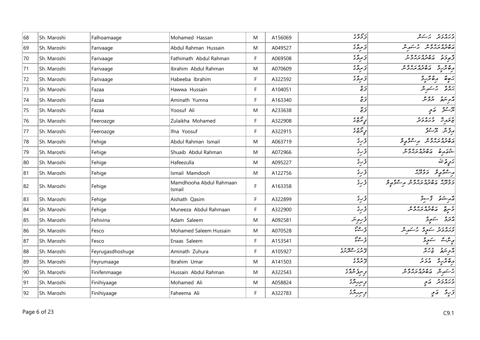| 68 | Sh. Maroshi | Falhoamaage      | Mohamed Hassan                    | M  | A156069 | ر ہ ء ،<br>او د د د                  | ورەرو پەسەر                                        |
|----|-------------|------------------|-----------------------------------|----|---------|--------------------------------------|----------------------------------------------------|
| 69 | Sh. Maroshi | Farivaage        | Abdul Rahman Hussain              | M  | A049527 | ر<br>تو بوری                         | גם כם גם כם הכל הל                                 |
| 70 | Sh. Maroshi | Farivaage        | Fathimath Abdul Rahman            | F  | A069508 | ر<br>توموگ <sup>ی</sup>              | و د د ده ده ده د و                                 |
| 71 | Sh. Maroshi | Farivaage        | Ibrahim Abdul Rahman              | M  | A070609 | تر بر پر پر<br>تر بر <sub>حر</sub> ی | ر ٥ ۶ ٥ ٥ ٥ ٥ ٥<br>۵ ۶ ۵ ۶ ۶ ۶ ۶ ۳<br>ەھ ئۈرۈ      |
| 72 | Sh. Maroshi | Farivaage        | Habeeba Ibrahim                   | F. | A322592 | تر برد ؟<br>تر بردگ                  | $\overset{\circ}{\mathcal{S}}$                     |
| 73 | Sh. Maroshi | Fazaa            | Hawwa Hussain                     | F  | A104051 | ترتج                                 | رەپ جەسكەنگ                                        |
| 74 | Sh. Maroshi | Fazaa            | Aminath Yumna                     | F. | A163340 | ترتج                                 | و ه مر<br>مرد سر<br>أرمر وسره                      |
| 75 | Sh. Maroshi | Fazaa            | Yoosuf Ali                        | M  | A233638 | ترتج                                 | دد وه<br>الرسوفر اړمو                              |
| 76 | Sh. Maroshi | Feeroazge        | Zulaikha Mohamed                  | F  | A322908 | وپرېږ                                | و ر ه ر د<br>تر پر پر تر<br>ح ئۇ م <sup>ەش</sup> ر |
| 77 | Sh. Maroshi | Feeroazge        | Ifna Yoosuf                       | F  | A322915 | و چې د ،<br>نومنځۍ                   | ورو شهر دو ده                                      |
| 78 | Sh. Maroshi | Fehige           | Abdul Rahman Ismail               | M  | A063719 | ې<br>توري                            | גם כם גם זם משיכת כ                                |
| 79 | Sh. Maroshi | Fehige           | Shuaib Abdul Rahman               | M  | A072966 |                                      | ر ه د ه د ه د ه<br>پره تر پر بر بر ش<br>شتم پر چ   |
| 80 | Sh. Maroshi | Fehige           | Hafeezulla                        | M  | A095227 | ې<br>توري                            | برَمٍ فَمَرْ اللّهَ                                |
| 81 | Sh. Maroshi | Fehige           | Ismail Mamdooh                    | M  | A122756 | ې<br>ورځ                             | د مشترکه و در ۱۳۶۵                                 |
| 82 | Sh. Maroshi | Fehige           | Mamdhooha Abdul Rahmaan<br>Ismail | F. | A163358 | ء<br>قرىرى                           | גם בבי גם כם גם גם גם בים בי                       |
| 83 | Sh. Maroshi | Fehige           | Aishath Qasim                     | F  | A322899 | ئۈرى<br>                             | ومريضو تخ سوفر                                     |
| 84 | Sh. Maroshi | Fehige           | Muneeza Abdul Rahmaan             | F  | A322900 | ې<br>توري                            |                                                    |
| 85 | Sh. Maroshi | Fehivina         | Adam Saleem                       | M  | A092581 | ۇ <sub>سرحە</sub> بىگە               | وره سکود                                           |
| 86 | Sh. Maroshi | Fesco            | Mohamed Saleem Hussain            | M  | A070528 | ۇپەي                                 | ورەرو سودە چاسكەنگ                                 |
| 87 | Sh. Maroshi | Fesco            | Enaas Saleem                      | F  | A153541 | ې مه م                               | اریٹرے کے دی <sub>جے</sub>                         |
| 88 | Sh. Maroshi | Feyrugasdhoshuge | Aminath Zuhura                    | F. | A105927 | دے ورصور و د<br>قریمری سستمبرمری     | أزويتره بالمرجز                                    |
| 89 | Sh. Maroshi | Feyrumaage       | Ibrahim Umar                      | M  | A141503 | ړ، و د  ،<br>تو مرد د                | $777$ $3770$                                       |
| 90 | Sh. Maroshi | Finifenmaage     | Hussain Abdul Rahman              | M  | A322543 | اربىدىغ                              | concocon con                                       |
| 91 | Sh. Maroshi | Finihiyaage      | Mohamed Ali                       | M  | A058824 | و سربر پژی<br>بر بر بر               | ورەرد كەم                                          |
| 92 | Sh. Maroshi | Finihiyaage      | Faheema Ali                       | F. | A322783 | و سربر پر د<br>تر سربر پر د          | تزریج ارزمی                                        |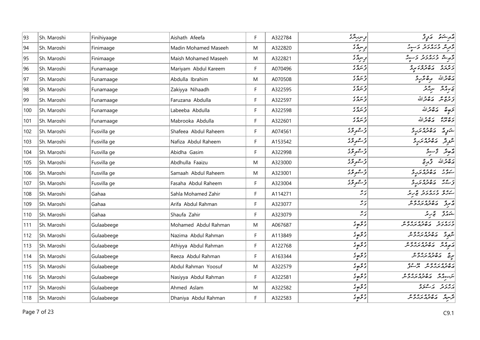| 93  | Sh. Maroshi | Finihiyaage | Aishath Afeefa       | F  | A322784 | و سربر پژی<br>زیر بر                             | مەر شىم ھۆرى<br>مەر شىم ھۆرى                                                 |
|-----|-------------|-------------|----------------------|----|---------|--------------------------------------------------|------------------------------------------------------------------------------|
| 94  | Sh. Maroshi | Finimaage   | Madin Mohamed Maseeh | M  | A322820 | او مدیزی<br>پ                                    | و ده دره د د و د سر                                                          |
| 95  | Sh. Maroshi | Finimaage   | Maish Mohamed Maseeh | M  | A322821 | وسردتمى                                          | و دره دره در در در د                                                         |
| 96  | Sh. Maroshi | Funamaage   | Mariyam Abdul Kareem | F. | A070496 | و پر پر پر<br>توسر <del>ی</del> ر <sub>ت</sub> ح | נ סנס ניס בסניים.<br>קינות <i>קיים נניב</i> עינים                            |
| 97  | Sh. Maroshi | Funamaage   | Abdulla Ibrahim      | M  | A070508 | و پر پر پر<br>توسر <del>ی</del> ر <sub>ک</sub>   | برە تراللە<br>مەھترىرى                                                       |
| 98  | Sh. Maroshi | Funamaage   | Zakiyya Nihaadh      | F  | A322595 | و ر د ،<br>و سرچ د                               | ىم پەر ئەرگەر                                                                |
| 99  | Sh. Maroshi | Funamaage   | Faruzana Abdulla     | F. | A322597 | و ر د د<br>تو سرچ د                              | ر ويحتر مكافرالله                                                            |
| 100 | Sh. Maroshi | Funamaage   | Labeeba Abdulla      | F  | A322598 | و ر د د<br>تو سرچ د                              | کو په پخ<br>مَەھتراللە                                                       |
| 101 | Sh. Maroshi | Funamaage   | Mabrooka Abdulla     | F. | A322601 | و پر پر پر<br>توسر <del>ی</del> ر ت              | ر ه دو پر<br><del>و</del> ځاندن<br>مەھىراللە                                 |
| 102 | Sh. Maroshi | Fusvilla ge | Shafeea Abdul Raheem | F  | A074561 | ۇ شەھ ۋى                                         | ر ه د ه د ر ه<br>پره تربر تربر و<br>شكورةً.                                  |
| 103 | Sh. Maroshi | Fusvilla ge | Nafiza Abdul Raheem  | F. | A153542 | ۇ شەھ ئۇي                                        | ره وه ره<br>پره توپر توپرو<br>سٌمَعِ فَدَّ                                   |
| 104 | Sh. Maroshi | Fusvilla ge | Abidha Gasim         | F. | A322998 | ۇرمىموقرى                                        | پر ص دگر<br>تۇسىۋ                                                            |
| 105 | Sh. Maroshi | Fusvilla ge | Abdhulla Faaizu      | M  | A323000 | ژ ش <sub>موڅه</sub> کا                           | ەھىراللە<br>تر مرمح                                                          |
| 106 | Sh. Maroshi | Fusvilla ge | Samaah Abdul Raheem  | M  | A323001 | ژ ش <sub>موڅه</sub> کا                           | - 1020 1020                                                                  |
| 107 | Sh. Maroshi | Fusvilla ge | Fasaha Abdul Raheem  | F  | A323004 | ۇ شورۇ ئى                                        | ز معد ده ده در ه                                                             |
| 108 | Sh. Maroshi | Gahaa       | Sahla Mohamed Zahir  | F  | A114271 | ىزچ                                              | روه ورەرو پەرى                                                               |
| 109 | Sh. Maroshi | Gahaa       | Arifa Abdul Rahman   | F  | A323077 | ىزچ                                              | ره وه ره ده و.<br>پره تر پر بر تر س<br>ەتىمىرىتى                             |
| 110 | Sh. Maroshi | Gahaa       | Shaufa Zahir         | F. | A323079 | ىرچ                                              | شەرىق ئىچ رىتى                                                               |
| 111 | Sh. Maroshi | Gulaabeege  | Mohamed Abdul Rahman | M  | A067687 | د څه دي<br>د څه                                  | ره وه ره ده.<br>پره تربر تر س<br>و ر ه ر د<br><del>و</del> بر پر تر          |
| 112 | Sh. Maroshi | Gulaabeege  | Nazima Abdul Rahman  | F  | A113849 | د د په په<br>د تره د                             | ره وه ره ده و.<br>په <i>ه د بر بر</i> و س<br>سٌرمور گ                        |
| 113 | Sh. Maroshi | Gulaabeege  | Athiyya Abdul Rahman | F  | A122768 | د و ه<br>د ژه د                                  | ر ٥ ر ٥ ر ٥ ر ٥<br>پر <i>۰ ۵ ر ۶ ر ۶ ر</i><br>مەجەدىر                        |
| 114 | Sh. Maroshi | Gulaabeege  | Reeza Abdul Rahman   | F  | A163344 | د عرصي<br>د عرصي                                 |                                                                              |
| 115 | Sh. Maroshi | Gulaabeege  | Abdul Rahman Yoosuf  | M  | A322579 | د په دې<br>د تره د                               | ر ס כ ס י ס שי ס - כ כ ס<br>גם <i>ב</i> ג <i>ג יג כ</i> ייג - ת --- <i>נ</i> |
| 116 | Sh. Maroshi | Gulaabeege  | Nasiyya Abdul Rahman | F  | A322581 | د و ه<br>د ژه د                                  | ر مه ده ده ده ده وه<br>سرجوړ دره ترد تر ش                                    |
| 117 | Sh. Maroshi | Gulaabeege  | Ahmed Aslam          | M  | A322582 | د و ه<br>د ژه د                                  | رەرد رەرە                                                                    |
| 118 | Sh. Maroshi | Gulaabeege  | Dhaniya Abdul Rahman | F  | A322583 | د څه په <sup>ې</sup>                             | ء مرد ده ده ده ده.<br>ترس در مصور بربرو س                                    |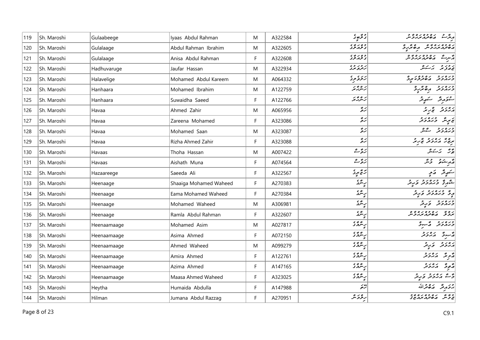| 119 | Sh. Maroshi  | Gulaabeege  | Iyaas Abdul Rahman     | M           | A322584 | و و مي<br>د گريم د              | ر ٥ ر ٥ ر ٥ ر ٥ ر<br>ه ن قرار مربر <del>ر</del> س<br>ەرەشەشە |
|-----|--------------|-------------|------------------------|-------------|---------|---------------------------------|--------------------------------------------------------------|
| 120 | Sh. Maroshi  | Gulalaage   | Abdul Rahman Ibrahim   | M           | A322605 | و ه ر پر پر<br>ى مزد مرک        | נפכם נפגים פגים<br>גם נגיבית הם נגיב                         |
| 121 | Sh. Maroshi  | Gulalaage   | Anisa Abdul Rahman     | F           | A322608 | و ه بر پر پر<br>پر توپر توپر    | و سر ده ده ده ده و و ده و                                    |
| 122 | Sh. Maroshi  | Hadhuvaruge | Jaufar Hassan          | M           | A322934 | ر و ر و ،<br>رتور بو <u>.</u>   | رورو پرسکس                                                   |
| 123 | Sh. Maroshi  | Halavelige  | Mohamed Abdul Kareem   | M           | A064332 | ر ر ،<br>رکوگور                 | כנסני נסיכסנים<br>הממכת מסתיבטיבי                            |
| 124 | Sh. Maroshi  | Hanhaara    | Mohamed Ibrahim        | M           | A122759 | ر ە دىر<br>رىتر <i>ى</i> ر      | כנהגב גם בניב                                                |
| 125 | Sh. Maroshi  | Hanhaara    | Suwaidha Saeed         | F           | A122766 | ر ە دىر<br>رىتر <i>ى</i> ر      | ستوكر متش ستهيقر                                             |
| 126 | Sh. Maroshi  | Havaa       | Ahmed Zahir            | M           | A065956 | رپچ                             | رەرد ئېرىز                                                   |
| 127 | Sh. Maroshi  | Havaa       | Zareena Mohamed        | F           | A323086 | رپچ                             | ىم پرىش ئەرەر ئە                                             |
| 128 | Sh. Maroshi  | Havaa       | Mohamed Saan           | M           | A323087 | ريح                             | ورەرو گەر                                                    |
| 129 | Sh. Maroshi  | Havaa       | Rizha Ahmed Zahir      | F           | A323088 | رپچ                             | برج أز أرور و المحر بر                                       |
| 130 | lSh. Maroshi | Havaas      | Thoha Hassan           | M           | A007422 | ر پۇ شە                         | ۇز بەسكىر                                                    |
| 131 | Sh. Maroshi  | Havaas      | Aishath Muna           | F           | A074564 | ر پۇ شە                         | و در شوه و در                                                |
| 132 | Sh. Maroshi  | Hazaareege  | Saeeda Ali             | $\mathsf F$ | A322567 | مر پچ <sub>محر</sub> ي          | سەرپەتر كەم                                                  |
| 133 | Sh. Maroshi  | Heenaage    | Shaaiga Mohamed Waheed | F           | A270383 | ر پٿري<br>په                    | شهرتم ورەرو كهار                                             |
| 134 | Sh. Maroshi  | Heenaage    | Eama Mohamed Waheed    | F           | A270384 | ر پڻري<br>پر                    | גד כנסנד הגב                                                 |
| 135 | Sh. Maroshi  | Heenaage    | Mohamed Waheed         | M           | A306981 | ر پٿري<br>په                    | ورەرو كەيتر                                                  |
| 136 | Sh. Maroshi  | Heenaage    | Ramla Abdul Rahman     | F           | A322607 | ر پڻو<br>په منگو                | رەپ رەدەرەپ<br>برونۇ مەھىرمەبرىرىس                           |
| 137 | Sh. Maroshi  | Heenaamaage | Mohamed Asim           | M           | A027817 | ر پژوي<br>په متر <del>د</del> د | ورەر و په                                                    |
| 138 | Sh. Maroshi  | Heenaamaage | Asima Ahmed            | F           | A072150 | ر پڙھ ئ                         | بر و بر د<br>م <i>ر</i> بر <del>و</del> تر<br>ړ ک ب          |
| 139 | Sh. Maroshi  | Heenaamaage | Ahmed Waheed           | M           | A099279 | ر پڙھ ي<br>پيدا                 | دەرو كەرد                                                    |
| 140 | lSh. Maroshi | Heenaamaage | Amira Ahmed            | F           | A122761 | ر پڙھ ئ                         | ړوند پره دو                                                  |
| 141 | Sh. Maroshi  | Heenaamaage | Azima Ahmed            | F           | A147165 | رېڅونه<br>په مترنۍ              | مەن ئەرەرد                                                   |
| 142 | Sh. Maroshi  | Heenaamaage | Maasa Ahmed Waheed     | F           | A323025 | رېڅونه<br>په مترنۍ              | و و پرورو په پر                                              |
| 143 | Sh. Maroshi  | Heytha      | Humaida Abdulla        | F           | A147988 | پرچ                             | جرمرتش مكافرالله                                             |
| 144 | Sh. Maroshi  | Hilman      | Jumana Abdul Razzag    | F           | A270951 | ر د د تر                        | כשש גם כם גם שב<br>ביכית השינה <i>הר</i> אב                  |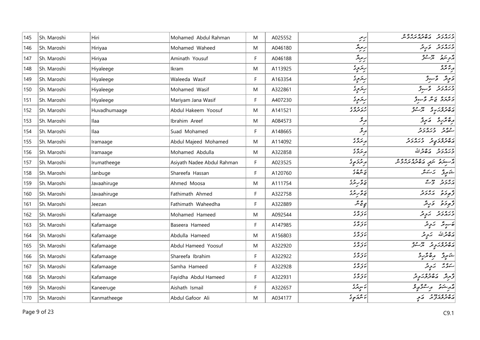| 145 | Sh. Maroshi | Hiri         | Mohamed Abdul Rahman       | M         | A025552 | رىر                               | כנסנכ נסכסנסגם<br>כגמכנ משנמאגלית                 |
|-----|-------------|--------------|----------------------------|-----------|---------|-----------------------------------|---------------------------------------------------|
| 146 | Sh. Maroshi | Hiriyaa      | Mohamed Waheed             | M         | A046180 | ىر بىر پىر<br>مەم                 | ورەر دىر د                                        |
| 147 | Sh. Maroshi | Hiriyaa      | Aminath Yousuf             | F.        | A046188 | ر بودگر<br>ر                      | ה היה מגור<br>הקיימים וקיי                        |
| 148 | Sh. Maroshi | Hiyaleege    | Ikram                      | M         | A113925 | رېزىر                             | ם 20<br>קיט זקב                                   |
| 149 | Sh. Maroshi | Hiyaleege    | Waleeda Wasif              | F         | A163354 | رېزونه<br>ر                       | ەَ پِرْ ئەسرۇ                                     |
| 150 | Sh. Maroshi | Hiyaleege    | Mohamed Wasif              | M         | A322861 | رېزىپە <sup>ي</sup>               | ورەرو ئەبدۇ                                       |
| 151 | Sh. Maroshi | Hiyaleege    | Mariyam Jana Wasif         | F         | A407230 | رېزون <sub>ځ</sub>                | גם גם גבי ביתור                                   |
| 152 | Sh. Maroshi | Huvadhumaage | Abdul Hakeem Yoosuf        | ${\sf M}$ | A141521 |                                   | גם כם גם ככבים<br>השינגיקים תיינ                  |
| 153 | Sh. Maroshi | Ilaa         | Ibrahim Areef              | M         | A084573 | برتخه                             | رە ئرىر ئىبر                                      |
| 154 | Sh. Maroshi | Ilaa         | Suad Mohamed               | F         | A148665 | برځ                               | روح وره در                                        |
| 155 | Sh. Maroshi | Iramaage     | Abdul Majeed Mohamed       | M         | A114092 | ويزدى                             | ره وه رحد و ره رو<br>مصر و حدد و سر الله عدد الله |
| 156 | Sh. Maroshi | Iramaage     | Mohamed Abdulla            | M         | A322858 | پر تر دی                          | وره رو بره دالله                                  |
| 157 | Sh. Maroshi | Irumatheege  | Asiyath Nadee Abdul Rahman | F         | A023525 | ېر بر دې<br>بر بر دې              | ו מוני הרג הסינו הנסים                            |
| 158 | Sh. Maroshi | Janbuge      | Shareefa Hassan            | F         | A120760 | ر ه و ء<br> قع سرچ <sub>ک</sub>   | ختيرة - ياكسكر                                    |
| 159 | Sh. Maroshi | Javaahiruge  | Ahmed Moosa                | M         | A111754 | د پور د د ،<br>  ق حر مر بر د     | ړه روه دون                                        |
| 160 | Sh. Maroshi | Javaahiruge  | Fathimath Ahmed            | F         | A322758 | پر ځور تر د ؟<br>  پر ځور تر پر د | قرم ده ده در د                                    |
| 161 | Sh. Maroshi | Jeezan       | Fathimath Waheedha         | F         | A322889 | مح پچ مگر                         | وتجوحكم وتباقد                                    |
| 162 | Sh. Maroshi | Kafamaage    | Mohamed Hameed             | M         | A092544 | ر ر » ،<br>ما تو ژ د              | وره دو د و                                        |
| 163 | Sh. Maroshi | Kafamaage    | Baseera Hameed             | F         | A147985 | ر ر پر پر<br>ما تو <del>ر</del> ک | كەسىت برجەتر                                      |
| 164 | Sh. Maroshi | Kafamaage    | Abdulla Hameed             | M         | A156803 | پر په پ                           | أرجع فرالله برجيعه                                |
| 165 | Sh. Maroshi | Kafamaage    | Abdul Hameed Yoosuf        | M         | A322920 | ر ر » ،<br>  ر ر و د              | נ 2000 בי כב 20<br>הפיתוב בב תיית                 |
| 166 | Sh. Maroshi | Kafamaage    | Shareefa Ibrahim           | F         | A322922 | ر ر » ،<br>ما تو ژ د              | شەبېرۇ بەھ ئۈرۈ                                   |
| 167 | Sh. Maroshi | Kafamaage    | Samha Hameed               | F.        | A322928 | ر ر پر پر<br>رو تر <sub>تر</sub>  | كنورمج الكابية                                    |
| 168 | Sh. Maroshi | Kafamaage    | Fayidha Abdul Hameed       | F         | A322931 | ر ر پر پر<br>رو تر <sub>تر</sub>  | تومرند كالمعادور والمحمد والمحمد                  |
| 169 | Sh. Maroshi | Kaneeruge    | Aishath Ismail             | F         | A322657 | ئەسەيرى<br>  ئەسەيرى              | مەيدىنى بەستۇپ ئو                                 |
| 170 | Sh. Maroshi | Kanmatheege  | Abdul Gafoor Ali           | M         | A034177 | بزېږېدنه                          | ره ده درد د کرم                                   |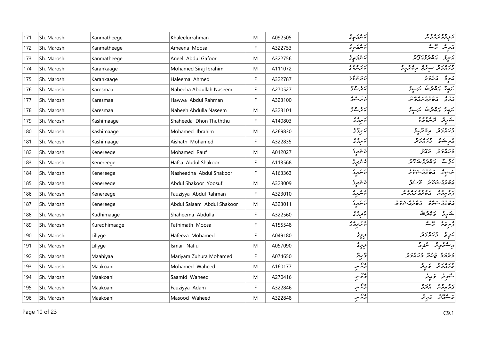| 171 | Sh. Maroshi | Kanmatheege  | Khaleelurrahman            | M           | A092505 | ر ه ر<br>مشرد م <sub>و</sub> ر          | ار<br>ارکو د مره د و م                                                          |
|-----|-------------|--------------|----------------------------|-------------|---------|-----------------------------------------|---------------------------------------------------------------------------------|
| 172 | Sh. Maroshi | Kanmatheege  | Ameena Moosa               | E           | A322753 | ئەنگە ئەمرى                             | لەَجِ ئىگە<br>ديو مشر                                                           |
| 173 | Sh. Maroshi | Kanmatheege  | Aneel Abdul Gafoor         | M           | A322756 | ئەنگە ئەمو ئە                           | ړس په ۱۵۶۵۶ و.<br>مسرچي شه لرون                                                 |
| 174 | Sh. Maroshi | Karankaage   | Mohamed Siraj Ibrahim      | M           | A111072 | ر ر ه و د ،<br>ما <del>ب</del> ر سربا د | ورەرو سورق مەھرىرو                                                              |
| 175 | Sh. Maroshi | Karankaage   | Haleema Ahmed              | F.          | A322787 | ر رەپەر<br>مايىرسرىز ي                  | بروژ مهدونه                                                                     |
| 176 | Sh. Maroshi | Karesmaa     | Nabeeha Abdullah Naseem    | F.          | A270527 | ئەبۇر ھەمچ                              | <i>سَهِرَّ مَ</i> صَمَّاللَّهُ سَرَسِو <i>دُ</i>                                |
| 177 | Sh. Maroshi | Karesmaa     | Hawwa Abdul Rahman         | F           | A323100 | ئەبۇر شۇ                                | ره ده ده ده ده ده و<br>بردو ده ترد بربروس                                       |
| 178 | Sh. Maroshi | Karesmaa     | Nabeeh Abdulla Naseem      | M           | A323101 | ئە ئەرىبە ئە                            | <i>مَرْجِي<sup>ر</sup>َ مَ</i> صْحَراللَّهُ مَرَسِو <i>دُ</i>                   |
| 179 | Sh. Maroshi | Kashimaage   | Shaheeda Dhon Thuththu     | F           | A140803 | لأمرمح ي                                | ) در پر مده وه و<br>( شورتر انتر تر شرح ورمو                                    |
| 180 | Sh. Maroshi | Kashimaage   | Mohamed Ibrahim            | M           | A269830 | ر<br>مأمور <sup>ي</sup>                 | כמחכת תפתיק                                                                     |
| 181 | Sh. Maroshi | Kashimaage   | Aishath Mohamed            | F           | A322835 | ئە بىر <sub>دى</sub> ئ                  | و رە ر د<br>تر پروتر<br>ر<br>درگر مشتره                                         |
| 182 | Sh. Maroshi | Kenereege    | Mohamed Rauf               | M           | A012027 | ى<br>ئەمىرىيە ئە                        | כנסנכ נחס<br><i>כג</i> ונכנ <sub>י</sub> מונ                                    |
| 183 | Sh. Maroshi | Kenereege    | Hafsa Abdul Shakoor        | $\mathsf F$ | A113568 | ى ئەرىرى<br>مامىرىيە                    | ره په ره ده ردد د<br>برو په ماه درم شومانو                                      |
| 184 | Sh. Maroshi | Kenereege    | Nasheedha Abdul Shakoor    | F           | A163363 | ئە مىزىيە ئە<br>ئا                      | سکرے وگر کے مقدم دور و<br>سکرے وگر کے مقدم مقدم میں                             |
| 185 | Sh. Maroshi | Kenereege    | Abdul Shakoor Yoosuf       | M           | A323009 | ى ئەرىرى<br>مامىرىمورى                  |                                                                                 |
| 186 | Sh. Maroshi | Kenereege    | Fauziyya Abdul Rahman      | $\mathsf F$ | A323010 | ع متر پر <sup>ج</sup>                   | נג פני נפכסנסים<br>צגאָמית השינמיניית                                           |
| 187 | Sh. Maroshi | Kenereege    | Abdul Salaam Abdul Shakoor | M           | A323011 | ې په په په<br>ما                        | ر ه و ه ر ر وه<br>پره توپر سونژو<br>ر ۵ ۵ ۵ ۵ ر دو و<br>پرې تر پر شو <i>پ</i> ر |
| 188 | Sh. Maroshi | Kudhimaage   | Shaheema Abdulla           | F           | A322560 | توریح ی<br>  تا مریح <sub>ک</sub>       | وكحصرالله<br>ىشكىرىچ                                                            |
| 189 | Sh. Maroshi | Kuredhimaage | Fathimath Moosa            | F           | A155548 | د ،<br>موږد د                           | وٌمِ وَمَعْ وَسَنَّ                                                             |
| 190 | Sh. Maroshi | Lillyge      | Hafeeza Mohamed            | F           | A049180 | مومودگا<br>مربح                         | و ره ر د<br><i>د ب</i> رگر تر<br>برَوٍ پُر                                      |
| 191 | Sh. Maroshi | Lillyge      | Ismail Nafiu               | M           | A057090 | مومور<br>ري                             | ر موځ په عمله شور                                                               |
| 192 | Sh. Maroshi | Maahiyaa     | Mariyam Zuhura Mohamed     | F           | A074650 | و<br>تر ر دگر                           | ג סגם ככש כגם גב<br><mark>כמתכ א</mark> ג'ול בממכת                              |
| 193 | Sh. Maroshi | Maakoani     | Mohamed Waheed             | M           | A160177 | ورمبر                                   | وبرورو كربرو                                                                    |
| 194 | Sh. Maroshi | Maakoani     | Saamid Waheed              | M           | A270416 | وی<br>د تا سر                           | سگونژ کاپانژ                                                                    |
| 195 | Sh. Maroshi | Maakoani     | Fauziyya Adam              | F           | A322846 | و مړينې<br>م                            | ز جمع پر پڑ<br>پور ہ<br>مرمرو                                                   |
| 196 | Sh. Maroshi | Maakoani     | Masood Waheed              | M           | A322848 | وثمير                                   | ر معصور کردی                                                                    |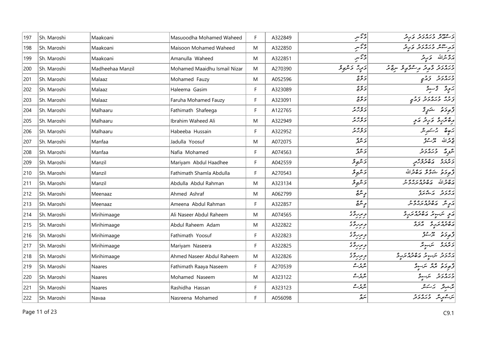| 197 | Sh. Maroshi   | Maakoani         | Masuoodha Mohamed Waheed     | F. | A322849 | ۇ ئەسر                          | ر مدد وره رو ر و<br>و سهرتر وبرمروتر وبرتر                     |
|-----|---------------|------------------|------------------------------|----|---------|---------------------------------|----------------------------------------------------------------|
| 198 | Sh. Maroshi   | Maakoani         | Maisoon Mohamed Waheed       | M  | A322850 | اقرحمير                         | ورحمق ورەرو كارو                                               |
| 199 | Sh. Maroshi   | Maakoani         | Amanulla Waheed              | M  | A322851 | لجنمبر                          | بروحهالله تحديد                                                |
| 200 | Sh. Maroshi   | Madheehaa Manzil | Mohamed Maaidhu Ismail Nizar | M  | A270390 | دَرِيرٌ دَيْرَ وِي              | כנים ני בי בי הפי היבית בי היבית                               |
| 201 | Sh. Maroshi   | Malaaz           | Mohamed Fauzy                | M  | A052596 | ر پوه                           | ورەر در<br>وبەددىر زەي                                         |
| 202 | Sh. Maroshi   | Malaaz           | Haleema Gasim                | F  | A323089 | ر پر ه<br><del>ر</del> نرم      |                                                                |
| 203 | l Sh. Maroshi | Malaaz           | Faruha Mohamed Fauzy         | F  | A323091 | ر پوه                           |                                                                |
| 204 | Sh. Maroshi   | Malhaaru         | Fathimath Shafeega           | F  | A122765 | ىر ەپرىر                        | وَجِعِدَهُ شَوَرٍ وَ                                           |
| 205 | Sh. Maroshi   | Malhaaru         | Ibrahim Waheed Ali           | M  | A322949 | ر ه و و<br><del>د</del> نر نر   |                                                                |
| 206 | Sh. Maroshi   | Malhaaru         | Habeeba Hussain              | F  | A322952 | ر ه و و<br><del>و</del> نور ننر | أيهده بالمستهر مثل                                             |
| 207 | Sh. Maroshi   | Manfaa           | Jadulla Yoosuf               | M  | A072075 | ىر ھەمچ                         | يح قرالله حرج و                                                |
| 208 | Sh. Maroshi   | Manfaa           | Nafia Mohamed                | F  | A074563 | ىز شرىچە                        | و رە ر د<br>تر پر تر تر<br>شمورځ                               |
| 209 | Sh. Maroshi   | Manzil           | Mariyam Abdul Haadhee        | F  | A042559 | ئەشىر بۇ                        | ر ه ره د ره وه د پر                                            |
| 210 | Sh. Maroshi   | Manzil           | Fathimath Shamla Abdulla     | F. | A270543 | ۇ ئىرىپو ئى                     | و برد بره و بره دالله                                          |
| 211 | Sh. Maroshi   | Manzil           | Abdulla Abdul Rahman         | M  | A323134 | ۇ ئىرى پى                       | ره د الله به موه بره د و<br>پرېورالله به صوبر <i>موبر و</i> سر |
| 212 | Sh. Maroshi   | Meenaaz          | Ahmed Ashraf                 | M  | A062799 | جرىترچ                          | رەرد كەشىر                                                     |
| 213 | Sh. Maroshi   | Meenaaz          | Ameena Abdul Rahman          | F. | A322857 | جریٹرچ                          | ر به ره ده ده د و د                                            |
| 214 | Sh. Maroshi   | Mirihimaage      | Ali Naseer Abdul Raheem      | M  | A074565 | او بور وي<br>اب بور وي          | ג׳בְ יְתֹיְיִית ג׳ם בְּם ִתְגֹוֹל                              |
| 215 | Sh. Maroshi   | Mirihimaage      | Abdul Raheem Adam            | M  | A322822 | ا و برر و ی<br><u>ر ر ر</u>     | גם כם גם הבנב                                                  |
| 216 | Sh. Maroshi   | Mirihimaage      | Fathimath Yoosuf             | F  | A322823 | او برروی<br><u>۱۰۰۰</u>         | و ده ده ده وه                                                  |
| 217 | Sh. Maroshi   | Mirihimaage      | Mariyam Naseera              | F  | A322825 | او بوروی<br>ا <u>ر بورو</u> ی   | و دره سرب پر                                                   |
| 218 | Sh. Maroshi   | Mirihimaage      | Ahmed Naseer Abdul Raheem    | M  | A322826 | د برر د ؟<br>ر ر ر              |                                                                |
| 219 | Sh. Maroshi   | Naares           | Fathimath Raaya Naseem       | F. | A270539 | پڑ پر ہ                         | و دو وو شرح د                                                  |
| 220 | Sh. Maroshi   | <b>Naares</b>    | Mohamed Naseem               | M  | A323122 | ىئە پر م                        | ورەرو شرىدۇ                                                    |
| 221 | Sh. Maroshi   | <b>Naares</b>    | Rashidha Hassan              | F  | A323123 | پري ھ<br>متر <i>پڻ</i>          | گرىشەن <i>گە كەسكەنل</i>                                       |
| 222 | Sh. Maroshi   | Navaa            | Nasreena Mohamed             | F  | A056098 | سرچ                             | ىر قىم بىر مەدر د                                              |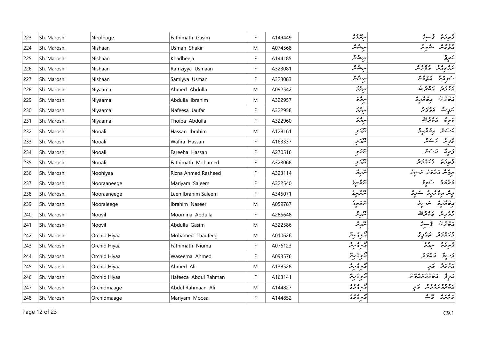| 223 | Sh. Maroshi | Nirolhuge    | Fathimath Gasim      | F         | A149449 | بر د د د<br>سرپرنوی  | ۇ بۇ ئەسر                                                      |
|-----|-------------|--------------|----------------------|-----------|---------|----------------------|----------------------------------------------------------------|
| 224 | Sh. Maroshi | Nishaan      | Usman Shakir         | M         | A074568 | سرىشەشر              | و و و و.<br>مرفو څرنگر<br>شەرىد                                |
| 225 | Sh. Maroshi | Nishaan      | Khadheeja            | F         | A144185 | سرىشەشر              | ر<br>تر ورقع                                                   |
| 226 | Sh. Maroshi | Nishaan      | Ramziyya Usmaan      | F         | A323081 | سرىشەشر              | ره په ۵ پر<br>مرد م <sub>ح</sub> رمر<br>و و بو عر              |
| 227 | Sh. Maroshi | Nishaan      | Samiyya Usman        | F         | A323083 | اسریشمبر<br>پ        | ستومه وه وه                                                    |
| 228 | Sh. Maroshi | Niyaama      | Ahmed Abdulla        | M         | A092542 | سردگر                | برورد بره قرالله                                               |
| 229 | Sh. Maroshi | Niyaama      | Abdulla Ibrahim      | ${\sf M}$ | A322957 | سردگر                | برە ئۆرۈ<br>ەھىراللە                                           |
| 230 | Sh. Maroshi | Niyaama      | Nafeesa Jaufar       | F         | A322958 | سردگر                | ر ور و<br>ق <i>ه ؤ</i> بر<br> سَمَدٍ مُتَنَ                    |
| 231 | Sh. Maroshi | Niyaama      | Thoiba Abdulla       | F         | A322960 | سرگرى                | بجمدةً مَهْ مَدَّاللَّه                                        |
| 232 | Sh. Maroshi | Nooali       | Hassan Ibrahim       | M         | A128161 | انتهزم               | برسكس مرەمجرىر                                                 |
| 233 | Sh. Maroshi | Nooali       | Wafira Hassan        | F         | A163337 | ابتدئر               | قرىر ئەسكىر                                                    |
| 234 | Sh. Maroshi | Nooali       | Fareeha Hassan       | F         | A270516 | انتهزم               | ۇ پرچە كەسكەنلە                                                |
| 235 | Sh. Maroshi | Nooali       | Fathimath Mohamed    | F         | A323068 | انتزمز               | و ده دره دره                                                   |
| 236 | Sh. Maroshi | Noohiyaa     | Rizna Ahmed Rasheed  | F         | A323114 | دو<br>متربر پر       | ره پر مرد در مردور                                             |
| 237 | Sh. Maroshi | Nooraaneege  | Mariyam Saleem       | F         | A322540 | دو پر<br>سربر سرپر   | ره ده کرده                                                     |
| 238 | Sh. Maroshi | Nooraaneege  | Leen Ibrahim Saleem  | F         | A345071 | دور<br>سربر سرید     | وير مەندىق سىرو                                                |
| 239 | Sh. Maroshi | Nooraleege   | Ibrahim Naseer       | ${\sf M}$ | A059787 | دوپرېي<br>مربرې      |                                                                |
| 240 | Sh. Maroshi | Noovil       | Moomina Abdulla      | F         | A285648 | يتر <sub>عر</sub> قر | وقرح محافظة                                                    |
| 241 | Sh. Maroshi | Noovil       | Abdulla Gasim        | M         | A322586 | يتروعه               | مَدْ مَرَّاللَّهُ تَحْ-وَ                                      |
| 242 | Sh. Maroshi | Orchid Hiyaa | Mohamed Thaufeeg     | M         | A010626 | ەر بەر بەر<br>مەس    | ورەرد روپى                                                     |
| 243 | Sh. Maroshi | Orchid Hiyaa | Fathimath Niuma      | F         | A076123 | ەر بەر ئەرگە<br>مەس  | توجدة سرقمة                                                    |
| 244 | Sh. Maroshi | Orchid Hiyaa | Waseema Ahmed        | F         | A093576 | لرموء سرقر           | بر ٥ پر و<br>م <i>ر</i> بر <del>و</del> تر<br>  ئەسىرىپە<br> - |
| 245 | Sh. Maroshi | Orchid Hiyaa | Ahmed Ali            | ${\sf M}$ | A138528 | ەر بەر بەرگە<br>مەس  | دەرد كەي                                                       |
| 246 | Sh. Maroshi | Orchid Hiyaa | Hafeeza Abdul Rahman | F         | A163141 | ه موءِ سرگر          |                                                                |
| 247 | Sh. Maroshi | Orchidmaage  | Abdul Rahmaan Ali    | M         | A144827 |                      | ره وه ره ده د مر                                               |
| 248 | Sh. Maroshi | Orchidmaage  | Mariyam Moosa        | F         | A144852 |                      | دەرە دەپ                                                       |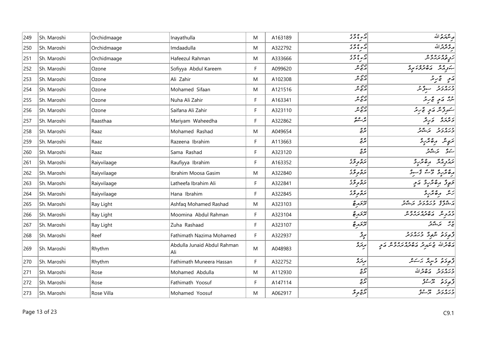| 249 | Sh. Maroshi  | Orchidmaage | Inayathulla                        | M         | A163189 | م و و و ء<br>مربو و د        | مر متر ترجم اللّه                                |
|-----|--------------|-------------|------------------------------------|-----------|---------|------------------------------|--------------------------------------------------|
| 250 | Sh. Maroshi  | Orchidmaage | Imdaadulla                         | ${\sf M}$ | A322792 | ه<br>د سره د د               | مروترترالله                                      |
| 251 | Sh. Maroshi  | Orchidmaage | Hafeezul Rahman                    | ${\sf M}$ | A333666 | 0 موء ي<br>موء چي            | ر په ده ره د و.                                  |
| 252 | Sh. Maroshi  | Ozone       | Sofiyya Abdul Kareem               | F         | A099620 | پر چ پر                      | התנור הסינית בי                                  |
| 253 | Sh. Maroshi  | Ozone       | Ali Zahir                          | M         | A102308 | ەم چە<br>مەنتى               | أەسم يتحريمه                                     |
| 254 | Sh. Maroshi  | Ozone       | Mohamed Sifaan                     | M         | A121516 | انوچ عر                      | <i>دره د د پ</i> ه در در د                       |
| 255 | Sh. Maroshi  | Ozone       | Nuha Ali Zahir                     | F         | A163341 | 222                          | مرثه كالمج الجمريز                               |
| 256 | lSh. Maroshi | Ozone       | Saifana Ali Zahir                  | F         | A323110 | 20 صر<br>اړي                 | سوروش ويد مجريمه                                 |
| 257 | lSh. Maroshi | Raasthaa    | Mariyam Waheedha                   | F         | A322862 | پۇ رەپۇ                      | دەرە دېر                                         |
| 258 | lSh. Maroshi | Raaz        | Mohamed Rashad                     | M         | A049654 | پوه<br>مربع                  | ورەر د برخور<br><i>ويەم</i> وتر برخۇنر           |
| 259 | Sh. Maroshi  | Raaz        | Razeena Ibrahim                    | F         | A113663 | بترج                         | بمبيش رەممىيە                                    |
| 260 | Sh. Maroshi  | Raaz        | Sama Rashad                        | F         | A323120 | برمج                         | سكافي المركبة فكر                                |
| 261 | Sh. Maroshi  | Raiyvilaage | Raufiyya Ibrahim                   | F         | A163352 | بره و پر ،<br>مره و پژی      | גדנה הסתיב                                       |
| 262 | Sh. Maroshi  | Raiyvilaage | Ibrahim Moosa Gasim                | ${\sf M}$ | A322840 | ره<br>بر <sub>هو</sub> مونور | $\frac{1}{2}$                                    |
| 263 | Sh. Maroshi  | Raiyvilaage | Latheefa Ibrahim Ali               | F         | A322841 | ره<br>بر <sub>حو</sub> مونور | خبور معتبره مو                                   |
| 264 | Sh. Maroshi  | Raiyvilaage | Hana Ibrahim                       | F         | A322845 | ىر <i>ھ</i><br>ئىر ھومۇ ئى   | ئەنئە بەھ ئۈر ۋ                                  |
| 265 | Sh. Maroshi  | Ray Light   | Ashfaq Mohamed Rashad              | M         | A323103 | پر خرچ                       | ر و ده و در و در د و<br>پرشوگری و په دونر برشونر |
| 266 | Sh. Maroshi  | Ray Light   | Moomina Abdul Rahman               | F         | A323104 | پر خرچ                       | ככ ש גם כסגם שם                                  |
| 267 | Sh. Maroshi  | Ray Light   | Zuha Rashaad                       | F         | A323107 | ترىخەرچ                      | چر <sup>م</sup> کرشگ <sup>و</sup> ر              |
| 268 | Sh. Maroshi  | Reef        | Fathimath Nazima Mohamed           | F         | A322937 | ىپەتر                        | د د د په دره د د<br>ژوده شمود درددد              |
| 269 | Sh. Maroshi  | Rhythm      | Abdulla Junaid Abdul Rahman<br>Ali | ${\sf M}$ | A048983 | برترو                        | ره والله تم شهر و ره وه دره و مر محبو            |
| 270 | Sh. Maroshi  | Rhythm      | Fathimath Muneera Hassan           | F         | A322752 | ىرىزگ                        | ۋە ئەڭ ئەس ئەسەر                                 |
| 271 | Sh. Maroshi  | Rose        | Mohamed Abdulla                    | ${\sf M}$ | A112930 | $\overline{\mathcal{E}}$     | وره رو ره دالله                                  |
| 272 | Sh. Maroshi  | Rose        | Fathimath Yoosuf                   | F         | A147114 | جرج                          | و د د ده وه<br>ژبوده ارسو                        |
| 273 | Sh. Maroshi  | Rose Villa  | Mohamed Yoosuf                     | ${\sf M}$ | A062917 | ترجم عرقته                   | כנים בי מי כם<br>כגולכות ותי-ת                   |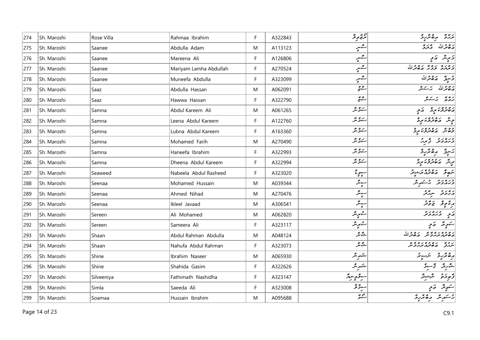| 274 | Sh. Maroshi   | Rose Villa | Rahmaa Ibrahim         | F         | A322843 | تریج عرقحه      |                                                     |
|-----|---------------|------------|------------------------|-----------|---------|-----------------|-----------------------------------------------------|
| 275 | Sh. Maroshi   | Saanee     | Abdulla Adam           | M         | A113123 | ر<br>په په      | برە دالله<br>پور ہ<br>مرمرو                         |
| 276 | Sh. Maroshi   | Saanee     | Mareena Ali            | F         | A126806 | سەمىر           | كە ئىر ئىگە ئە                                      |
| 277 | Sh. Maroshi   | Saanee     | Mariyam Lamha Abdullah | F         | A270524 | ڪسر<br>پخ       | ره ره ره و ره دالله                                 |
| 278 | Sh. Maroshi   | Saanee     | Muneefa Abdulla        | F         | A323099 | اڪُسِ<br>ا      | 3س <i>ية 1</i> 25هزالله                             |
| 279 | Sh. Maroshi   | Saaz       | Abdulla Hassan         | M         | A062091 | سَرَّج          | مَدْهُ مِّرَاللَّهُ بَرَسَوْسُ                      |
| 280 | Sh. Maroshi   | Saaz       | Hawwa Hassan           | F         | A322790 | ستميح           | برەپ برسكس                                          |
| 281 | Sh. Maroshi   | Samna      | Abdul Kareem Ali       | M         | A061265 | ىرە پۇ          | גם כפני גב" ה'ב                                     |
| 282 | Sh. Maroshi   | Samna      | Leena Abdul Kareem     | F         | A122760 | ىە ۋىتر         | و شهر معدد ده در ده کم                              |
| 283 | Sh. Maroshi   | Samna      | Lubna Abdul Kareem     | F         | A163360 | ىە ۋىتر         | وه بر ده وه <i>در ه</i>                             |
| 284 | Sh. Maroshi   | Samna      | Mohamed Farih          | M         | A270490 | ىە ۋىتر         | ورەرد په د                                          |
| 285 | Sh. Maroshi   | Samna      | Haneefa Ibrahim        | F         | A322993 | ىيە ۋېتر        | بَسِدٌ مِعْتَبِ                                     |
| 286 | Sh. Maroshi   | Samna      | Dheena Abdul Kareem    | F         | A322994 | ىە ۋىتر         |                                                     |
| 287 | Sh. Maroshi   | Seaweed    | Nabeela Abdul Rasheed  | F         | A323020 | سوم ؟<br>پرو    | ر ده ده ده ده کرد.<br>سرچ د کاه تر مر مر شوتر       |
| 288 | Sh. Maroshi   | Seenaa     | Mohamed Hussain        | ${\sf M}$ | A039344 | سەپىگر          | ورەرو ورىدىگ                                        |
| 289 | Sh. Maroshi   | Seenaa     | Ahmed Nihad            | ${\sf M}$ | A270476 | سەپىگە          | پروتر سرگرفتر                                       |
| 290 | Sh. Maroshi   | Seenaa     | Ikleel Javaad          | M         | A306541 | سەپىگر          | در ه د نوم د په د                                   |
| 291 | Sh. Maroshi   | Sereen     | Ali Mohamed            | M         | A062820 | ئەبىرىگر        |                                                     |
| 292 | Sh. Maroshi   | Sereen     | Sameera Ali            | F         | A323117 | ئەبىر بىر       | سكوبتر الأمر                                        |
| 293 | Sh. Maroshi   | Shaan      | Abdul Rahman Abdulla   | M         | A048124 | ىشەشر           | ره ده ره ده دره دالله                               |
| 294 | Sh. Maroshi   | Shaan      | Nahufa Abdul Rahman    | F         | A323073 | ىشەھر           | קבי קסבסקסים<br>ייק <i>י</i> ק השנה <i>יהייכ</i> ית |
| 295 | Sh. Maroshi   | Shine      | Ibrahim Naseer         | M         | A065930 | ڪورنگر          | رە ئەر ئىسىر                                        |
| 296 | l Sh. Maroshi | Shine      | Shahida Gasim          | F         | A322626 | ڪوريگر<br>ڪ     | لشريرٌ <sub>ت</sub> حبو                             |
| 297 | Sh. Maroshi   | Silveeniya | Fathimath Nashidha     | F         | A323147 | ۔<br>مرگوم سرمر | و مرد<br>ترجوح مو<br>مگرشونگر<br>مر                 |
| 298 | Sh. Maroshi   | Simla      | Saeeda Ali             | F         | A323008 | اسىۋىتى<br>پ    | سكمي فكر أوكر وكرم                                  |
| 299 | Sh. Maroshi   | Soamaa     | Hussain Ibrahim        | M         | A095688 | حيو             | بر سکور شرح مرکز کرد د                              |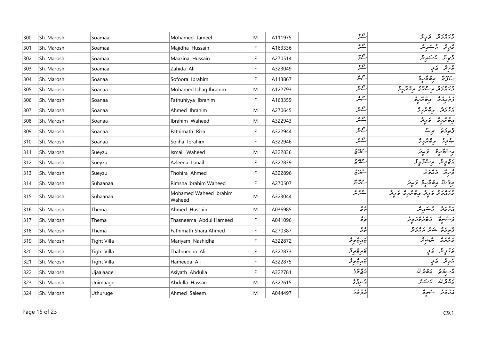| 300 | Sh. Maroshi        | Soamaa             | Mohamed Jameel                   | M           | A111975 | حيوتني                            | ورەرو رو                                            |
|-----|--------------------|--------------------|----------------------------------|-------------|---------|-----------------------------------|-----------------------------------------------------|
| 301 | Sh. Maroshi        | Soamaa             | Majidha Hussain                  | F           | A163336 | حيو                               |                                                     |
| 302 | Sh. Maroshi        | Soamaa             | Maazina Hussain                  | F           | A270514 | حدثته                             |                                                     |
| 303 | Sh. Maroshi        | Soamaa             | Zahida Ali                       | F           | A323049 | حيو                               |                                                     |
| 304 | Sh. Maroshi        | Soanaa             | Sofoora Ibrahim                  | F           | A113867 | <u>مەش</u> ر                      | ەرھەترىر <sup>ى</sup><br>ىر دەپر<br>سىزىر           |
| 305 | Sh. Maroshi        | Soanaa             | Mohamed Ishaq Ibrahim            | M           | A122793 | يثمثر                             | ورەرو مەمدە مەمزىر                                  |
| 306 | Sh. Maroshi        | Soanaa             | Fathuhiyya Ibrahim               | F           | A163359 | يثمثر                             | ە ھەمەر 2<br>برەھمەر 2<br>ן כ<br>נ <sub>ס</sub> גמת |
| 307 | Sh. Maroshi        | Soanaa             | Ahmed Ibrahim                    | M           | A270645 | يثمثر                             | ەھ ئۈرۈ<br>ر ە ر د                                  |
| 308 | Sh. Maroshi        | Soanaa             | Ibrahim Waheed                   | M           | A322943 | <u>مەشر</u>                       | ە ھېڭرىر<br>بر ھېڭرىرى<br>ئە بەر<br>ئ               |
| 309 | Sh. Maroshi        | Soanaa             | Fathimath Riza                   | $\mathsf F$ | A322944 | يثمثر                             | توجوختم<br>برتگه                                    |
| 310 | Sh. Maroshi        | Soanaa             | Soliha Ibrahim                   | $\mathsf F$ | A322946 | 2 مئر                             | ڔۛۨۦڿڔڋ<br>بڈبریڈ                                   |
| 311 | Sh. Maroshi        | Sueyzu             | Ismail Waheed                    | M           | A322836 | و پر و<br>سوړنې                   | وڪوڻي وَرِ                                          |
| 312 | Sh. Maroshi        | Sueyzu             | Azleena Ismail                   | F           | A322839 | و پر و<br>سعور ہے                 |                                                     |
| 313 | Sh. Maroshi        | Sueyzu             | Thohira Ahmed                    | F           | A322896 | و پر و<br>سوپر نخ                 | يجربر مدوم                                          |
| 314 | Sh. Maroshi        | Suhaanaa           | Rimsha Ibrahim Waheed            | F           | A270507 | يە بۇ ئە                          |                                                     |
| 315 | Sh. Maroshi        | Suhaanaa           | Mohamed Waheed Ibrahim<br>Waheed | M           | A323044 | <u>حرم میں</u>                    | ورەرو ریە مەئدە كېرى                                |
| 316 | Sh. Maroshi        | Thema              | Ahmed Hussain                    | M           | A036985 | ج ج<br>حو                         | رەرو ورىدىگ                                         |
| 317 | Sh. Maroshi        | Thema              | Thasneema Abdul Hameed           | F           | A041096 | ج حج<br>حو                        |                                                     |
| 318 | Sh. Maroshi        | Thema              | Fathimath Shara Ahmed            | F           | A270387 | ج ج<br>حوتر                       | توجوحو شرعر برورد                                   |
| 319 | <b>Sh. Maroshi</b> | <b>Tight Villa</b> | Mariyam Nashidha                 | F           | A322872 | ءَ <sub>م</sub> وع <sub>م</sub> و | رەرە شىشىر                                          |
| 320 | Sh. Maroshi        | <b>Tight Villa</b> | Thahmeena Ali                    | F           | A322873 | ى<br>قەرق <sup>ە</sup> ر          | ر د په کړې<br>مرسي که د                             |
| 321 | Sh. Maroshi        | <b>Tight Villa</b> | Hameeda Ali                      | F           | A322875 | ءَ <sub>م</sub> وع <sub>م</sub> و | ر<br>ر <sub>کو</sub> نڈ کام                         |
| 322 | Sh. Maroshi        | Ujaalaage          | Asiyath Abdulla                  | F           | A322781 | و ۵ ۵ و<br>در بع مور              | وسنقرض وكالحداللة                                   |
| 323 | Sh. Maroshi        | Unimaage           | Abdulla Hassan                   | M           | A322615 | وحسريري                           | ەھەراللە<br>برسەمىر                                 |
| 324 | Sh. Maroshi        | Uthuruge           | Ahmed Saleem                     | M           | A044497 | د د د د<br>پره مرد                | ړه رو شوو                                           |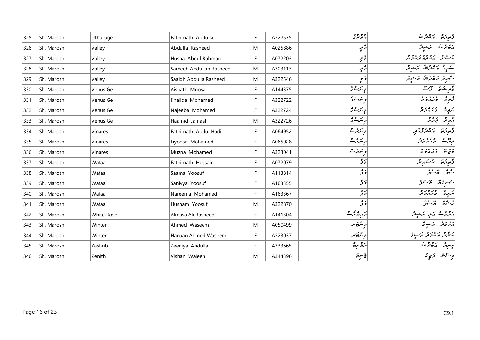| 325 | Sh. Maroshi        | Uthuruge   | Fathimath Abdulla       | F. | A322575 | د د د د<br>مرح بر د      | تجويح مكافيه                                    |
|-----|--------------------|------------|-------------------------|----|---------|--------------------------|-------------------------------------------------|
| 326 | Sh. Maroshi        | Valley     | Abdulla Rasheed         | M  | A025886 | قرمز                     | أرة قرالله تمشيقر                               |
| 327 | Sh. Maroshi        | Valley     | Husna Abdul Rahman      | F  | A072203 | ءَ م                     | و مشهر مده ده ده ده و                           |
| 328 | Sh. Maroshi        | Valley     | Sameeh Abdullah Rasheed | M  | A303113 | ءَمٍ                     | سَمَّحِ بِمَ مَدْهُ مِّدْ اللَّهُ ۖ مَدْسُومِرْ |
| 329 | Sh. Maroshi        | Valley     | Saaidh Abdulla Rasheed  | M  | A322546 | ءُمج                     | ستمهر قرح قرالله تمزجونر                        |
| 330 | <b>Sh. Maroshi</b> | Venus Ge   | Aishath Moosa           | F  | A144375 | <sub>حي</sub> سر صوبح    | أقهر شدة وحرث                                   |
| 331 | Sh. Maroshi        | Venus Ge   | Khalida Mohamed         | F  | A322722 | موسكر صحيحه              | أرَّجِعَّ وَرَوْدُو                             |
| 332 | Sh. Maroshi        | Venus Ge   | Najeeba Mohamed         | F  | A322724 | موسكر صحيحه              | سَرِيحٍ صَمَّدَ حَمَدَ حَمَد                    |
| 333 | Sh. Maroshi        | Venus Ge   | Haamid Jamaal           | M  | A322726 | <sub>جو</sub> سَر کے دمح | گروژ نے وٌ وُ                                   |
| 334 | <b>Sh. Maroshi</b> | Vinares    | Fathimath Abdul Hadi    | F. | A064952 | ریر پڑے                  | و ده ده ده ده د                                 |
| 335 | Sh. Maroshi        | Vinares    | Liyoosa Mohamed         | F  | A065028 | ءِ يئر پڙ شه             | أوالمريد وره رو                                 |
| 336 | <b>Sh. Maroshi</b> | Vinares    | Muzna Mohamed           | F  | A323041 | موسَّد عمره              | وه وره دو                                       |
| 337 | Sh. Maroshi        | Wafaa      | Fathimath Hussain       | F  | A072079 | ىزگ                      | توجوجو برسمه شر                                 |
| 338 | Sh. Maroshi        | Wafaa      | Saama Yoosuf            | F  | A113814 | ترگ                      | شۇ ھەسىرو                                       |
| 339 | Sh. Maroshi        | Wafaa      | Saniyya Yoosuf          | F  | A163355 | ىرتى                     | سے سرمریہ مرکز                                  |
| 340 | Sh. Maroshi        | Wafaa      | Nareema Mohamed         | F  | A163367 | ىرگ                      | سرسریر<br>و بر ۵ بر و<br>تر بر بر تر            |
| 341 | Sh. Maroshi        | Wafaa      | Husham Yoosuf           | M  | A322870 | ئەتر                     | حريقة وسرح وصرفر                                |
| 342 | Sh. Maroshi        | White Rose | Almasa Ali Rasheed      | F  | A141304 | ئەرەم ئەر                | أروؤك كالمح المتضور                             |
| 343 | Sh. Maroshi        | Winter     | Ahmed Waseem            | M  | A050499 | اوبثرء بر                | دەرو كەسوۋ                                      |
| 344 | <b>Sh. Maroshi</b> | Winter     | Hanaan Ahmed Waseem     | F  | A323037 | ع مثريھَ مر              | پر شرحه در در در در در در د                     |
| 345 | Sh. Maroshi        | Yashrib    | Zeeniya Abdulla         | F  | A333665 | پر چې چ                  | سم سرمرٌ مَرصورِ اللّه                          |
| 346 | Sh. Maroshi        | Zenith     | Vishan Wajeeh           | M  | A344396 | ځ سرچ                    | وِحْدَّىرْ   وَمِيْرْ                           |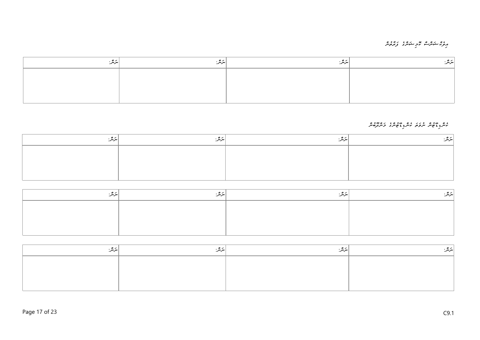## *w7qAn8m? sCw7mRo>u; wEw7mRw;sBo<*

| ' مرمر | 'يئرىثر: |
|--------|----------|
|        |          |
|        |          |
|        |          |

## *w7q9r@w7m> sCw7qHtFoFw7s; mAm=q7 w7qHtFoFw7s;*

| ىر تە | $\mathcal{O} \times$<br>$\sim$ | $\sim$<br>. . | لترنثر |
|-------|--------------------------------|---------------|--------|
|       |                                |               |        |
|       |                                |               |        |
|       |                                |               |        |

| $\frac{2}{n}$ | $^{\circ}$ | $\frac{2}{n}$ | $^{\circ}$<br>سرسر. |
|---------------|------------|---------------|---------------------|
|               |            |               |                     |
|               |            |               |                     |
|               |            |               |                     |

| يره . | 。<br>سرسر. |  |
|-------|------------|--|
|       |            |  |
|       |            |  |
|       |            |  |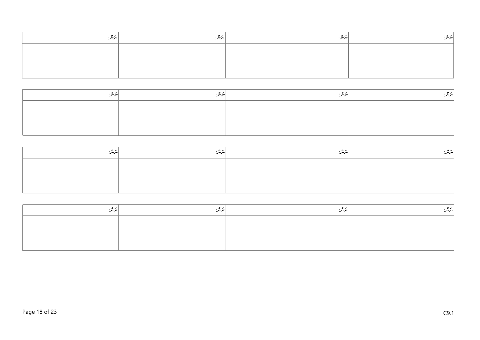| يزهر | $^{\circ}$ | ىئرىتر: |  |
|------|------------|---------|--|
|      |            |         |  |
|      |            |         |  |
|      |            |         |  |

| متريثر به | 。<br>'سرسر'۔ | يتزيترا | سرسر |
|-----------|--------------|---------|------|
|           |              |         |      |
|           |              |         |      |
|           |              |         |      |

| ىئرىتر. | $\sim$ | ا بر هه. | لىرىش |
|---------|--------|----------|-------|
|         |        |          |       |
|         |        |          |       |
|         |        |          |       |

| 。<br>مرس. | $\overline{\phantom{a}}$<br>مر سر | يتريثر |
|-----------|-----------------------------------|--------|
|           |                                   |        |
|           |                                   |        |
|           |                                   |        |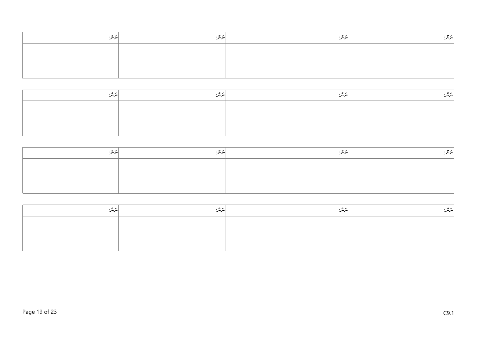| ير هو . | $\overline{\phantom{a}}$ | يرمر | اير هنه. |
|---------|--------------------------|------|----------|
|         |                          |      |          |
|         |                          |      |          |
|         |                          |      |          |

| ىر ھ | $\circ$ $\sim$<br>ا سرسر. | $\circ$ $\sim$<br>' سرسر . | o <i>~</i><br>سرسر. |
|------|---------------------------|----------------------------|---------------------|
|      |                           |                            |                     |
|      |                           |                            |                     |
|      |                           |                            |                     |

| 'تترنثر: | . .<br>يسمونس. |  |
|----------|----------------|--|
|          |                |  |
|          |                |  |
|          |                |  |

|  | . ه |
|--|-----|
|  |     |
|  |     |
|  |     |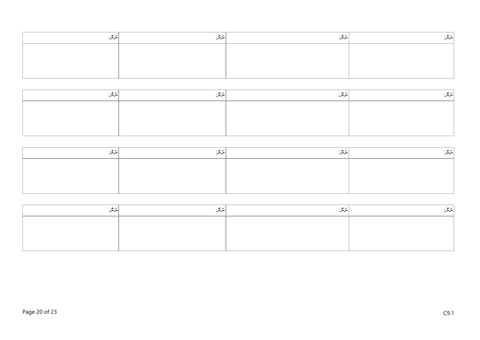| ير هو . | $\overline{\phantom{a}}$ | يرمر | اير هنه. |
|---------|--------------------------|------|----------|
|         |                          |      |          |
|         |                          |      |          |
|         |                          |      |          |

| ىر تىر: | $\circ$ $\sim$<br>" سرسر . | يترمير | o . |
|---------|----------------------------|--------|-----|
|         |                            |        |     |
|         |                            |        |     |
|         |                            |        |     |

| انترنثر: | ر ه |  |
|----------|-----|--|
|          |     |  |
|          |     |  |
|          |     |  |

|  | . ه |
|--|-----|
|  |     |
|  |     |
|  |     |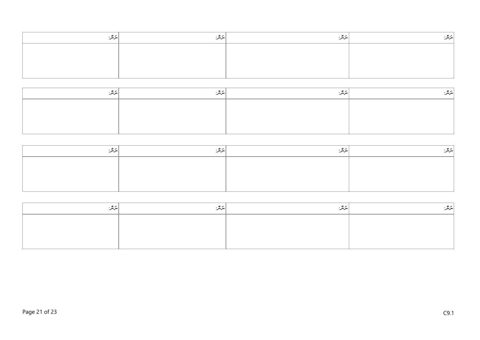| $\cdot$ | 。 | $\frac{\circ}{\cdot}$ | $\sim$<br>سرسر |
|---------|---|-----------------------|----------------|
|         |   |                       |                |
|         |   |                       |                |
|         |   |                       |                |

| يريثن | ' سرسر . |  |
|-------|----------|--|
|       |          |  |
|       |          |  |
|       |          |  |

| بر ه | . ه | $\sim$<br>سرسر |  |
|------|-----|----------------|--|
|      |     |                |  |
|      |     |                |  |
|      |     |                |  |

| 。<br>. س | ىرىىر |  |
|----------|-------|--|
|          |       |  |
|          |       |  |
|          |       |  |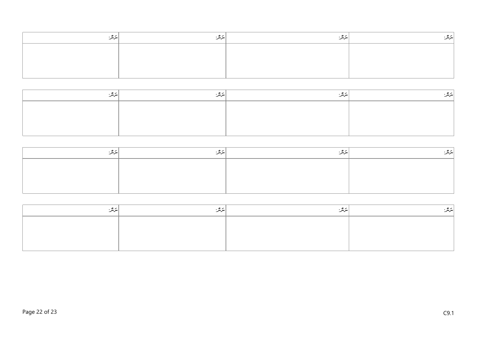| ير هو . | $\overline{\phantom{a}}$ | يرمر | اير هنه. |
|---------|--------------------------|------|----------|
|         |                          |      |          |
|         |                          |      |          |
|         |                          |      |          |

| ىر تىر: | $\circ$ $\sim$<br>" سرسر . | يترمير | o . |
|---------|----------------------------|--------|-----|
|         |                            |        |     |
|         |                            |        |     |
|         |                            |        |     |

| انترنثر: | ر ه |  |
|----------|-----|--|
|          |     |  |
|          |     |  |
|          |     |  |

|  | . ه |
|--|-----|
|  |     |
|  |     |
|  |     |